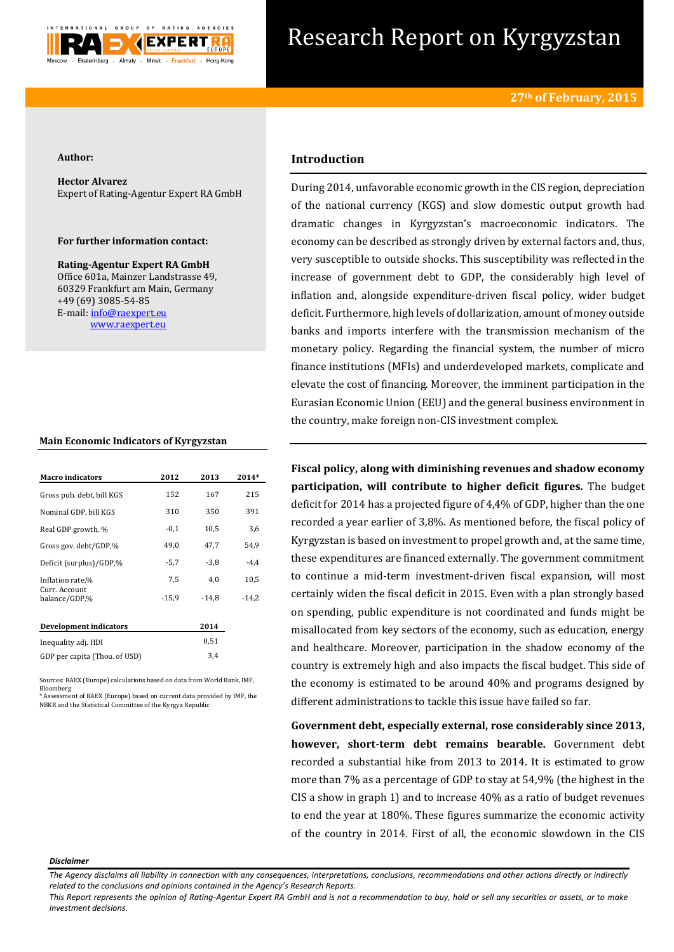

# Research Report on Kyrgyzstan

## **Author:**

**Hector Alvarez** Expert of Rating-Agentur Expert RA GmbH

# **For further information contact:**

**Rating-Agentur Expert RA GmbH** Office 601a, Mainzer Landstrasse 49, 60329 Frankfurt am Main, Germany +49 (69) 3085-54-85 E-mail[: info@raexpert.eu](mailto:info@raexpert.eu) [www.raexpert.eu](http://raexpert.eu/)

# **Main Economic Indicators of Kyrgyzstan**

| <b>Macro indicators</b>        | 2012    | 2013    | 2014*   |
|--------------------------------|---------|---------|---------|
| Gross pub. debt, bill KGS      | 152     | 167     | 215     |
| Nominal GDP, bill KGS          | 310     | 350     | 391     |
| Real GDP growth, %             | $-0,1$  | 10,5    | 3,6     |
| Gross gov. debt/GDP,%          | 49,0    | 47,7    | 54.9    |
| Deficit (surplus)/GDP,%        | $-5,7$  | $-3.8$  | $-4.4$  |
| Inflation rate,%               | 7,5     | 4,0     | 10,5    |
| Curr. Account<br>balance/GDP.% | $-15,9$ | $-14.8$ | $-14.2$ |
| Development indicators         |         | 2014    |         |
| Inequality adj. HDI            |         | 0,51    |         |
| GDP per capita (Thou. of USD)  |         | 3,4     |         |

Sources: RAEX (Europe) calculations based on data from World Bank, IMF, Bloomberg \* Assessment of RAEX (Europe) based on current data provided by IMF, the

NBKR and the Statistical Committee of the Kyrgyz Republic

# **Introduction**

During 2014, unfavorable economic growth in the CIS region, depreciation of the national currency (KGS) and slow domestic output growth had dramatic changes in Kyrgyzstan's macroeconomic indicators. The economy can be described as strongly driven by external factors and, thus, very susceptible to outside shocks. This susceptibility was reflected in the increase of government debt to GDP, the considerably high level of inflation and, alongside expenditure-driven fiscal policy, wider budget deficit. Furthermore, high levels of dollarization, amount of money outside banks and imports interfere with the transmission mechanism of the monetary policy. Regarding the financial system, the number of micro finance institutions (MFIs) and underdeveloped markets, complicate and elevate the cost of financing. Moreover, the imminent participation in the Eurasian Economic Union (EEU) and the general business environment in the country, make foreign non-CIS investment complex.

**Fiscal policy, along with diminishing revenues and shadow economy participation, will contribute to higher deficit figures.** The budget deficit for 2014 has a projected figure of 4,4% of GDP, higher than the one recorded a year earlier of 3,8%. As mentioned before, the fiscal policy of Kyrgyzstan is based on investment to propel growth and, at the same time, these expenditures are financed externally. The government commitment to continue a mid-term investment-driven fiscal expansion, will most certainly widen the fiscal deficit in 2015. Even with a plan strongly based on spending, public expenditure is not coordinated and funds might be misallocated from key sectors of the economy, such as education, energy and healthcare. Moreover, participation in the shadow economy of the country is extremely high and also impacts the fiscal budget. This side of the economy is estimated to be around 40% and programs designed by different administrations to tackle this issue have failed so far.

**Government debt, especially external, rose considerably since 2013, however, short-term debt remains bearable.** Government debt recorded a substantial hike from 2013 to 2014. It is estimated to grow more than 7% as a percentage of GDP to stay at 54,9% (the highest in the CIS a show in graph 1) and to increase 40% as a ratio of budget revenues to end the year at 180%. These figures summarize the economic activity of the country in 2014. First of all, the economic slowdown in the CIS

#### *Disclaimer*

*This Report represents the opinion of Rating-Agentur Expert RA GmbH and is not a recommendation to buy, hold or sell any securities or assets, or to make investment decisions.*

*The Agency disclaims all liability in connection with any consequences, interpretations, conclusions, recommendations and other actions directly or indirectly related to the conclusions and opinions contained in the Agency's Research Reports.*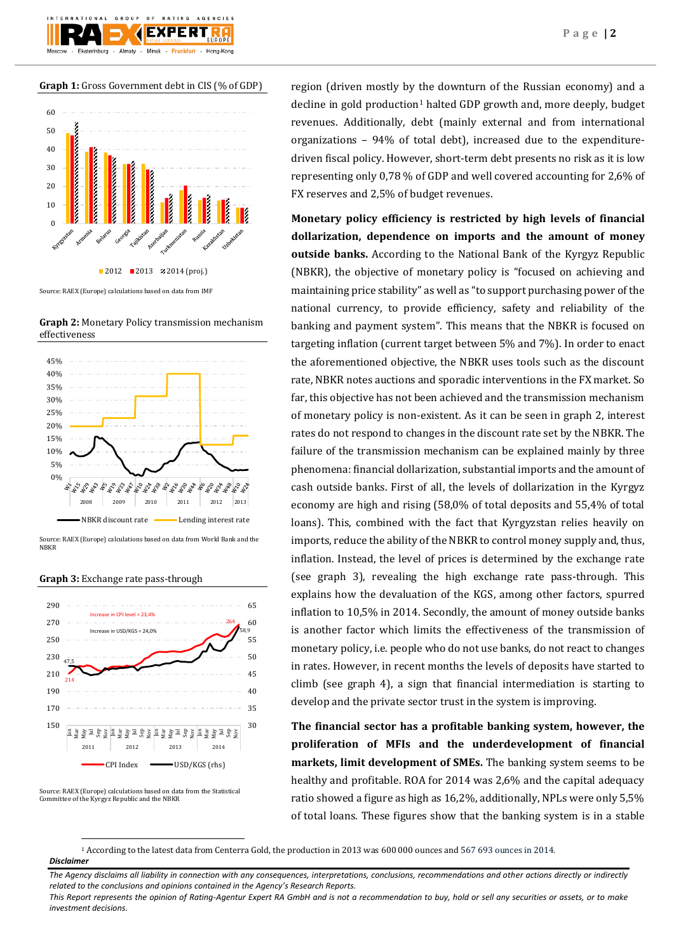**Graph 1:** Gross Government debt in CIS (% of GDP)

Almaty

rinburg

**EXPERT** 

Hong-Kong



Source: RAEX (Europe) calculations based on data from IMF

**Graph 2:** Monetary Policy transmission mechanism effectiveness



Source: RAEX (Europe) calculations based on data from World Bank and the NBKR

### **Graph 3:** Exchange rate pass-through



Source: RAEX (Europe) calculations based on data from the Statistical Committee of the Kyrgyz Republic and the NBKR

**.** 

region (driven mostly by the downturn of the Russian economy) and a decline in gold production<sup>1</sup> halted GDP growth and, more deeply, budget revenues. Additionally, debt (mainly external and from international organizations – 94% of total debt), increased due to the expendituredriven fiscal policy. However, short-term debt presents no risk as it is low representing only 0,78 % of GDP and well covered accounting for 2,6% of FX reserves and 2,5% of budget revenues.

**Monetary policy efficiency is restricted by high levels of financial dollarization, dependence on imports and the amount of money outside banks.** According to the National Bank of the Kyrgyz Republic (NBKR), the objective of monetary policy is "focused on achieving and maintaining price stability" as well as "to support purchasing power of the national currency, to provide efficiency, safety and reliability of the banking and payment system". This means that the NBKR is focused on targeting inflation (current target between 5% and 7%). In order to enact the aforementioned objective, the NBKR uses tools such as the discount rate, NBKR notes auctions and sporadic interventions in the FX market. So far, this objective has not been achieved and the transmission mechanism of monetary policy is non-existent. As it can be seen in graph 2, interest rates do not respond to changes in the discount rate set by the NBKR. The failure of the transmission mechanism can be explained mainly by three phenomena: financial dollarization, substantial imports and the amount of cash outside banks. First of all, the levels of dollarization in the Kyrgyz economy are high and rising (58,0% of total deposits and 55,4% of total loans). This, combined with the fact that Kyrgyzstan relies heavily on imports, reduce the ability of the NBKR to control money supply and, thus, inflation. Instead, the level of prices is determined by the exchange rate (see graph 3), revealing the high exchange rate pass-through. This explains how the devaluation of the KGS, among other factors, spurred inflation to 10,5% in 2014. Secondly, the amount of money outside banks is another factor which limits the effectiveness of the transmission of monetary policy, i.e. people who do not use banks, do not react to changes in rates. However, in recent months the levels of deposits have started to climb (see graph 4), a sign that financial intermediation is starting to develop and the private sector trust in the system is improving.

**The financial sector has a profitable banking system, however, the proliferation of MFIs and the underdevelopment of financial markets, limit development of SMEs.** The banking system seems to be healthy and profitable. ROA for 2014 was 2,6% and the capital adequacy ratio showed a figure as high as 16,2%, additionally, NPLs were only 5,5% of total loans. These figures show that the banking system is in a stable

*Disclaimer*  <sup>1</sup> According to the latest data from Centerra Gold, the production in 2013 was 600 000 ounces and 567 693 ounces in 2014.

*The Agency disclaims all liability in connection with any consequences, interpretations, conclusions, recommendations and other actions directly or indirectly related to the conclusions and opinions contained in the Agency's Research Reports.*

*This Report represents the opinion of Rating-Agentur Expert RA GmbH and is not a recommendation to buy, hold or sell any securities or assets, or to make investment decisions.*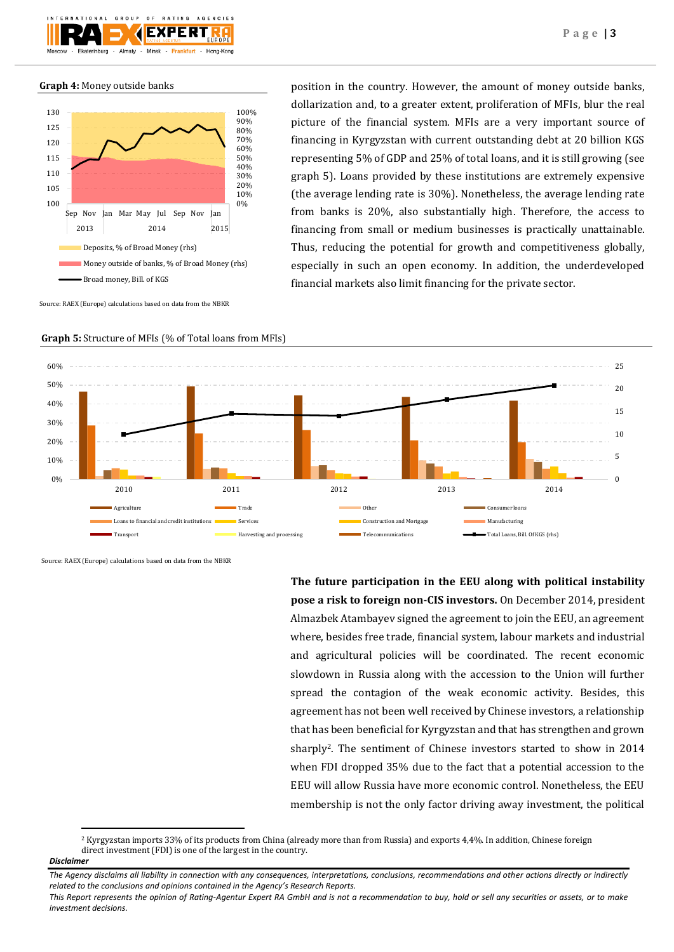

**Graph 4:** Money outside banks



Source: RAEX (Europe) calculations based on data from the NBKR

position in the country. However, the amount of money outside banks, dollarization and, to a greater extent, proliferation of MFIs, blur the real picture of the financial system. MFIs are a very important source of financing in Kyrgyzstan with current outstanding debt at 20 billion KGS representing 5% of GDP and 25% of total loans, and it is still growing (see graph 5). Loans provided by these institutions are extremely expensive (the average lending rate is 30%). Nonetheless, the average lending rate from banks is 20%, also substantially high. Therefore, the access to financing from small or medium businesses is practically unattainable. Thus, reducing the potential for growth and competitiveness globally, especially in such an open economy. In addition, the underdeveloped financial markets also limit financing for the private sector.



**Graph 5:** Structure of MFIs (% of Total loans from MFIs)

Source: RAEX (Europe) calculations based on data from the NBKR

**The future participation in the EEU along with political instability pose a risk to foreign non-CIS investors.** On December 2014, president Almazbek Atambayev signed the agreement to join the EEU, an agreement where, besides free trade, financial system, labour markets and industrial and agricultural policies will be coordinated. The recent economic slowdown in Russia along with the accession to the Union will further spread the contagion of the weak economic activity. Besides, this agreement has not been well received by Chinese investors, a relationship that has been beneficial for Kyrgyzstan and that has strengthen and grown sharply2. The sentiment of Chinese investors started to show in 2014 when FDI dropped 35% due to the fact that a potential accession to the EEU will allow Russia have more economic control. Nonetheless, the EEU membership is not the only factor driving away investment, the political

<sup>2</sup> Kyrgyzstan imports 33% of its products from China (already more than from Russia) and exports 4,4%. In addition, Chinese foreign direct investment (FDI) is one of the largest in the country.

**.** 

*Disclaimer* 

*The Agency disclaims all liability in connection with any consequences, interpretations, conclusions, recommendations and other actions directly or indirectly related to the conclusions and opinions contained in the Agency's Research Reports.*

*This Report represents the opinion of Rating-Agentur Expert RA GmbH and is not a recommendation to buy, hold or sell any securities or assets, or to make investment decisions.*